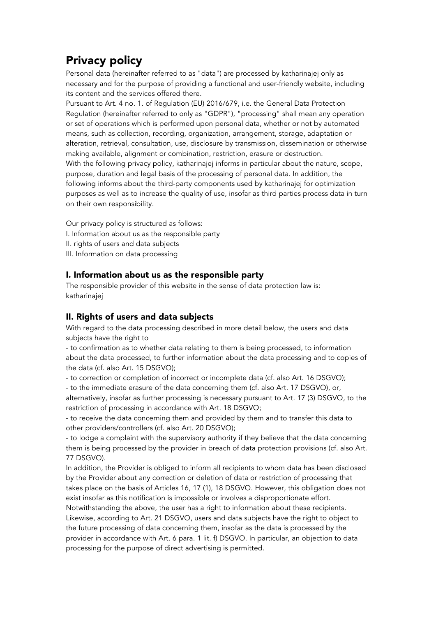## Privacy policy

Personal data (hereinafter referred to as "data") are processed by katharinajej only as necessary and for the purpose of providing a functional and user-friendly website, including its content and the services offered there.

Pursuant to Art. 4 no. 1. of Regulation (EU) 2016/679, i.e. the General Data Protection Regulation (hereinafter referred to only as "GDPR"), "processing" shall mean any operation or set of operations which is performed upon personal data, whether or not by automated means, such as collection, recording, organization, arrangement, storage, adaptation or alteration, retrieval, consultation, use, disclosure by transmission, dissemination or otherwise making available, alignment or combination, restriction, erasure or destruction. With the following privacy policy, katharinajej informs in particular about the nature, scope, purpose, duration and legal basis of the processing of personal data. In addition, the following informs about the third-party components used by katharinajej for optimization purposes as well as to increase the quality of use, insofar as third parties process data in turn on their own responsibility.

Our privacy policy is structured as follows: I. Information about us as the responsible party II. rights of users and data subjects III. Information on data processing

## I. Information about us as the responsible party

The responsible provider of this website in the sense of data protection law is: katharinajej

## II. Rights of users and data subjects

With regard to the data processing described in more detail below, the users and data subjects have the right to

- to confirmation as to whether data relating to them is being processed, to information about the data processed, to further information about the data processing and to copies of the data (cf. also Art. 15 DSGVO);

- to correction or completion of incorrect or incomplete data (cf. also Art. 16 DSGVO);

- to the immediate erasure of the data concerning them (cf. also Art. 17 DSGVO), or,

alternatively, insofar as further processing is necessary pursuant to Art. 17 (3) DSGVO, to the restriction of processing in accordance with Art. 18 DSGVO;

- to receive the data concerning them and provided by them and to transfer this data to other providers/controllers (cf. also Art. 20 DSGVO);

- to lodge a complaint with the supervisory authority if they believe that the data concerning them is being processed by the provider in breach of data protection provisions (cf. also Art. 77 DSGVO).

In addition, the Provider is obliged to inform all recipients to whom data has been disclosed by the Provider about any correction or deletion of data or restriction of processing that takes place on the basis of Articles 16, 17 (1), 18 DSGVO. However, this obligation does not exist insofar as this notification is impossible or involves a disproportionate effort.

Notwithstanding the above, the user has a right to information about these recipients. Likewise, according to Art. 21 DSGVO, users and data subjects have the right to object to the future processing of data concerning them, insofar as the data is processed by the provider in accordance with Art. 6 para. 1 lit. f) DSGVO. In particular, an objection to data processing for the purpose of direct advertising is permitted.